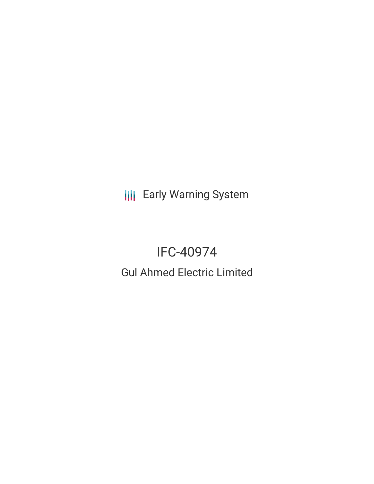**III** Early Warning System

# IFC-40974

Gul Ahmed Electric Limited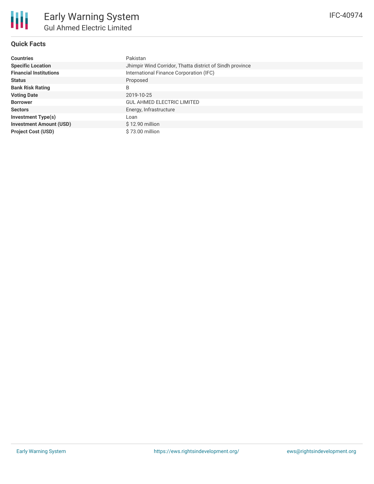

#### **Quick Facts**

| <b>Countries</b>               | Pakistan                                                 |  |  |  |
|--------------------------------|----------------------------------------------------------|--|--|--|
| <b>Specific Location</b>       | Jhimpir Wind Corridor, Thatta district of Sindh province |  |  |  |
| <b>Financial Institutions</b>  | International Finance Corporation (IFC)                  |  |  |  |
| <b>Status</b>                  | Proposed                                                 |  |  |  |
| <b>Bank Risk Rating</b>        | B                                                        |  |  |  |
| <b>Voting Date</b>             | 2019-10-25                                               |  |  |  |
| <b>Borrower</b>                | <b>GUL AHMED ELECTRIC LIMITED</b>                        |  |  |  |
| <b>Sectors</b>                 | Energy, Infrastructure                                   |  |  |  |
| <b>Investment Type(s)</b>      | Loan                                                     |  |  |  |
| <b>Investment Amount (USD)</b> | $$12.90$ million                                         |  |  |  |
| <b>Project Cost (USD)</b>      | \$73.00 million                                          |  |  |  |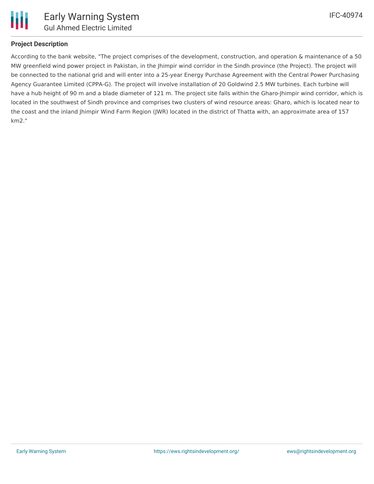

#### **Project Description**

According to the bank website, "The project comprises of the development, construction, and operation & maintenance of a 50 MW greenfield wind power project in Pakistan, in the Jhimpir wind corridor in the Sindh province (the Project). The project will be connected to the national grid and will enter into a 25-year Energy Purchase Agreement with the Central Power Purchasing Agency Guarantee Limited (CPPA-G). The project will involve installation of 20 Goldwind 2.5 MW turbines. Each turbine will have a hub height of 90 m and a blade diameter of 121 m. The project site falls within the Gharo-Jhimpir wind corridor, which is located in the southwest of Sindh province and comprises two clusters of wind resource areas: Gharo, which is located near to the coast and the inland Jhimpir Wind Farm Region (JWR) located in the district of Thatta with, an approximate area of 157 km2."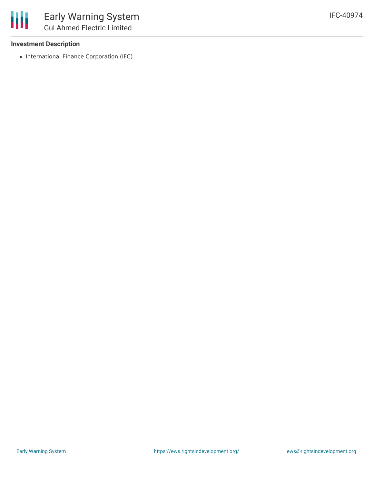#### **Investment Description**

• International Finance Corporation (IFC)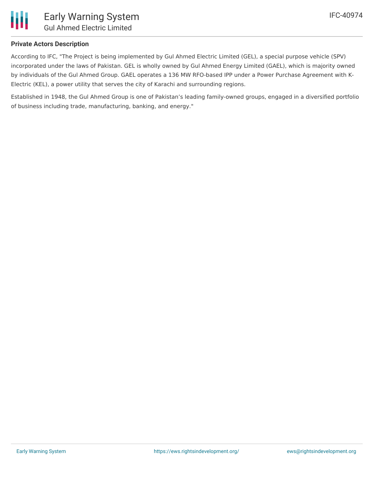

#### **Private Actors Description**

According to IFC, "The Project is being implemented by Gul Ahmed Electric Limited (GEL), a special purpose vehicle (SPV) incorporated under the laws of Pakistan. GEL is wholly owned by Gul Ahmed Energy Limited (GAEL), which is majority owned by individuals of the Gul Ahmed Group. GAEL operates a 136 MW RFO-based IPP under a Power Purchase Agreement with K-Electric (KEL), a power utility that serves the city of Karachi and surrounding regions.

Established in 1948, the Gul Ahmed Group is one of Pakistan's leading family-owned groups, engaged in a diversified portfolio of business including trade, manufacturing, banking, and energy."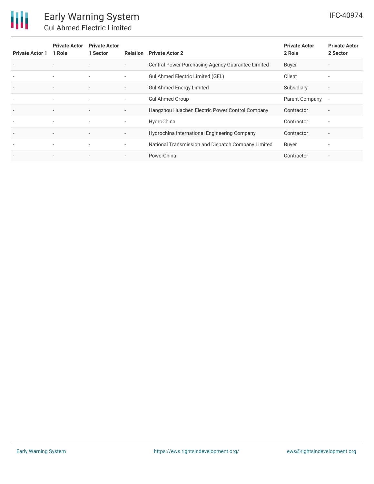## 冊

### Early Warning System Gul Ahmed Electric Limited

| <b>Private Actor 1</b>   | <b>Private Actor</b><br>1 Role | <b>Private Actor</b><br>1 Sector | Relation                 | <b>Private Actor 2</b>                             | <b>Private Actor</b><br>2 Role | <b>Private Actor</b><br>2 Sector |
|--------------------------|--------------------------------|----------------------------------|--------------------------|----------------------------------------------------|--------------------------------|----------------------------------|
| $\overline{\phantom{a}}$ | $\overline{\phantom{a}}$       |                                  | $\overline{\phantom{a}}$ | Central Power Purchasing Agency Guarantee Limited  | Buyer                          |                                  |
|                          | $\overline{\phantom{a}}$       | $\overline{\phantom{a}}$         | $\overline{\phantom{a}}$ | Gul Ahmed Electric Limited (GEL)                   | Client                         | ۰                                |
|                          | $\overline{\phantom{a}}$       | $\overline{\phantom{a}}$         | $\overline{\phantom{a}}$ | <b>Gul Ahmed Energy Limited</b>                    | Subsidiary                     | $\overline{\phantom{a}}$         |
|                          | $\overline{\phantom{a}}$       | $\overline{\phantom{a}}$         | $\overline{\phantom{a}}$ | <b>Gul Ahmed Group</b>                             | Parent Company                 | $\overline{\phantom{a}}$         |
| $\overline{\phantom{a}}$ | $\overline{\phantom{a}}$       | $\overline{\phantom{a}}$         | $\overline{\phantom{a}}$ | Hangzhou Huachen Electric Power Control Company    | Contractor                     | $\overline{\phantom{a}}$         |
| $\overline{\phantom{a}}$ | $\overline{\phantom{a}}$       | $\overline{\phantom{a}}$         | $\overline{\phantom{a}}$ | HydroChina                                         | Contractor                     | $\overline{\phantom{a}}$         |
| $\overline{\phantom{a}}$ | $\overline{\phantom{a}}$       | $\overline{\phantom{a}}$         | $\overline{\phantom{a}}$ | Hydrochina International Engineering Company       | Contractor                     | $\overline{\phantom{a}}$         |
| $\overline{\phantom{a}}$ | $\overline{\phantom{a}}$       | $\overline{\phantom{a}}$         | ۰.                       | National Transmission and Dispatch Company Limited | Buyer                          | $\blacksquare$                   |
|                          |                                |                                  | $\overline{\phantom{a}}$ | PowerChina                                         | Contractor                     |                                  |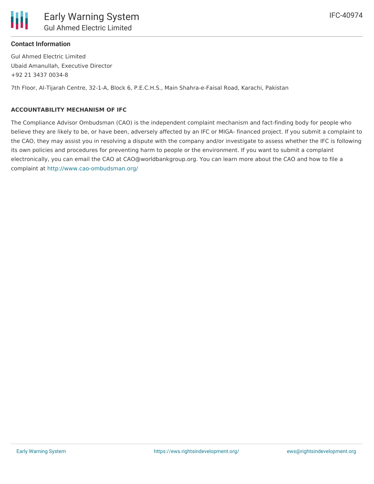

Gul Ahmed Electric Limited Ubaid Amanullah, Executive Director +92 21 3437 0034-8

7th Floor, Al-Tijarah Centre, 32-1-A, Block 6, P.E.C.H.S., Main Shahra-e-Faisal Road, Karachi, Pakistan

#### **ACCOUNTABILITY MECHANISM OF IFC**

The Compliance Advisor Ombudsman (CAO) is the independent complaint mechanism and fact-finding body for people who believe they are likely to be, or have been, adversely affected by an IFC or MIGA- financed project. If you submit a complaint to the CAO, they may assist you in resolving a dispute with the company and/or investigate to assess whether the IFC is following its own policies and procedures for preventing harm to people or the environment. If you want to submit a complaint electronically, you can email the CAO at CAO@worldbankgroup.org. You can learn more about the CAO and how to file a complaint at <http://www.cao-ombudsman.org/>